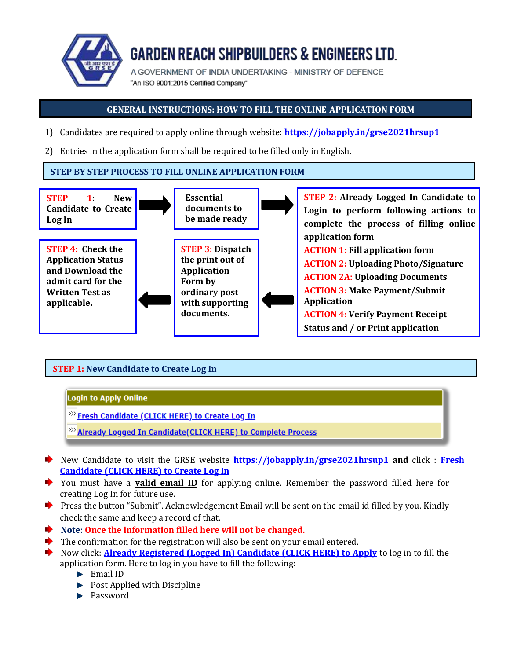

# **GARDEN REACH SHIPBUILDERS & ENGINEERS LTD.**

A GOVERNMENT OF INDIA UNDERTAKING - MINISTRY OF DEFENCE "An ISO 9001:2015 Certified Company"

# **GENERAL INSTRUCTIONS: HOW TO FILL THE ONLINE APPLICATION FORM**

- 1) Candidates are required to apply online through website: **https://jobapply.in/grse2021hrsup1**
- 2) Entries in the application form shall be required to be filled only in English.

## **STEP BY STEP PROCESS TO FILL ONLINE APPLICATION FORM**



# **STEP 1: New Candidate to Create Log In**

## **Login to Apply Online**

<sup>>>></sup> Fresh Candidate (CLICK HERE) to Create Log In

- <sup>>>></sup> Already Logged In Candidate(CLICK HERE) to Complete Process
- New Candidate to visit the GRSE website **https://jobapply.in/grse2021hrsup1 and** click : **Fresh Candidate (CLICK HERE) to Create Log In**
- You must have a **valid email ID** for applying online. Remember the password filled here for creating Log In for future use.
- **Press the button "Submit". Acknowledgement Email will be sent on the email id filled by you. Kindly** check the same and keep a record of that.
- **Note: Once the information filled here will not be changed.**
- The confirmation for the registration will also be sent on your email entered.
- Now click: **Already Registered (Logged In) Candidate (CLICK HERE) to Apply** to log in to fill the
	- application form. Here to log in you have to fill the following:
		- **Email ID**
		- $\blacktriangleright$  Post Applied with Discipline
		- Password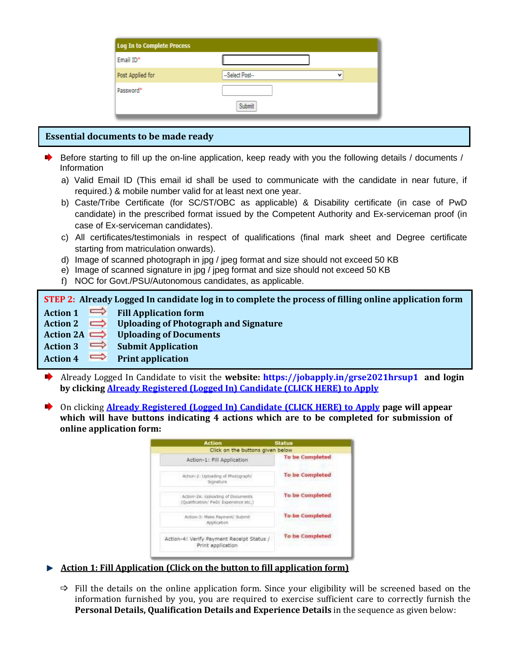| Log In to Complete Process |                                         |
|----------------------------|-----------------------------------------|
| Email ID*                  |                                         |
| Post Applied for           | --Select Post--<br>$\ddot{\phantom{a}}$ |
| Password*                  |                                         |
|                            | Submit                                  |

## **Essential documents to be made ready**

- Before starting to fill up the on-line application, keep ready with you the following details / documents / Information
	- a) Valid Email ID (This email id shall be used to communicate with the candidate in near future, if required.) & mobile number valid for at least next one year.
	- b) Caste/Tribe Certificate (for SC/ST/OBC as applicable) & Disability certificate (in case of PwD candidate) in the prescribed format issued by the Competent Authority and Ex-serviceman proof (in case of Ex-serviceman candidates).
	- c) All certificates/testimonials in respect of qualifications (final mark sheet and Degree certificate starting from matriculation onwards).
	- d) Image of scanned photograph in jpg / jpeg format and size should not exceed 50 KB
	- e) Image of scanned signature in jpg / jpeg format and size should not exceed 50 KB
	- f) NOC for Govt./PSU/Autonomous candidates, as applicable.

**STEP 2: Already Logged In candidate log in to complete the process of filling online application form**

- **Action 1 Fill Application form**
- **Action 2 Uploading of Photograph and Signature**
- **Action 2A Uploading of Documents**
- **Action 3 Submit Application**

**Action 4 Print application**

- Already Logged In Candidate to visit the **website: https://jobapply.in/grse2021hrsup1 and login by clicking Already Registered (Logged In) Candidate (CLICK HERE) to Apply**
- On clicking **Already Registered (Logged In) Candidate (CLICK HERE) to Apply page will appear which will have buttons indicating 4 actions which are to be completed for submission of online application form:**

| <b>Action</b>                                                              | <b>Status</b>          |
|----------------------------------------------------------------------------|------------------------|
| Click on the buttons given below                                           |                        |
| Action-1: Fill Application                                                 | <b>To be Completed</b> |
| Action-2: Uploading of Photograph.<br>Signature                            | To be Completed        |
| Action-2A: Uploading of Documents<br>(Qualification/ PwD/ Experience etc.) | <b>To be Completed</b> |
| Action-3: Make Payment/ Submit.<br>Application                             | <b>To be Completed</b> |
| Action-4: Verify Payment Receipt Status /<br>Print application             | <b>To be Completed</b> |

- **Action 1: Fill Application (Click on the button to fill application form)**
	- $\Rightarrow$  Fill the details on the online application form. Since your eligibility will be screened based on the information furnished by you, you are required to exercise sufficient care to correctly furnish the **Personal Details, Qualification Details and Experience Details** in the sequence as given below: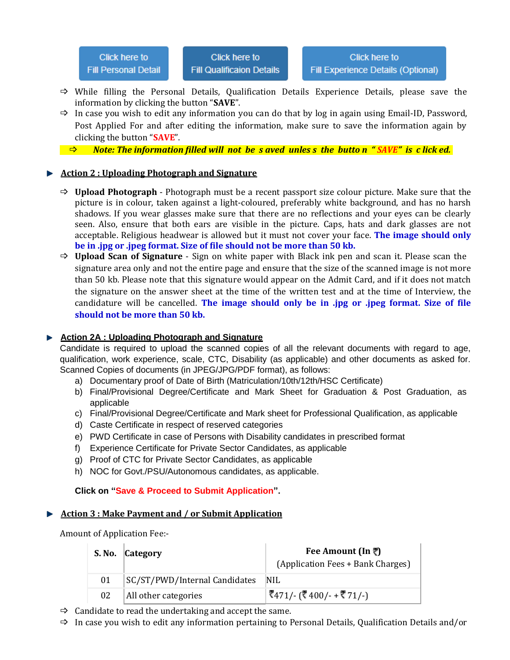- $\Rightarrow$  While filling the Personal Details, Qualification Details Experience Details, please save the information by clicking the button "**SAVE**".
- $\Rightarrow$  In case you wish to edit any information you can do that by log in again using Email-ID, Password, Post Applied For and after editing the information, make sure to save the information again by clicking the button "**SAVE**".
- *Note: The information filled will not be s aved unles s the butto n " SAVE" is c lick ed.*

#### **Action 2 : Uploading Photograph and Signature**

- **Upload Photograph** Photograph must be a recent passport size colour picture. Make sure that the picture is in colour, taken against a light-coloured, preferably white background, and has no harsh shadows. If you wear glasses make sure that there are no reflections and your eyes can be clearly seen. Also, ensure that both ears are visible in the picture. Caps, hats and dark glasses are not acceptable. Religious headwear is allowed but it must not cover your face. **The image should only be in .jpg or .jpeg format. Size of file should not be more than 50 kb.**
- **Upload Scan of Signature** Sign on white paper with Black ink pen and scan it. Please scan the signature area only and not the entire page and ensure that the size of the scanned image is not more than 50 kb. Please note that this signature would appear on the Admit Card, and if it does not match the signature on the answer sheet at the time of the written test and at the time of Interview, the candidature will be cancelled. **The image should only be in .jpg or .jpeg format. Size of file should not be more than 50 kb.**

#### **Action 2A : Uploading Photograph and Signature**

Candidate is required to upload the scanned copies of all the relevant documents with regard to age, qualification, work experience, scale, CTC, Disability (as applicable) and other documents as asked for. Scanned Copies of documents (in JPEG/JPG/PDF format), as follows:

- a) Documentary proof of Date of Birth (Matriculation/10th/12th/HSC Certificate)
- b) Final/Provisional Degree/Certificate and Mark Sheet for Graduation & Post Graduation, as applicable
- c) Final/Provisional Degree/Certificate and Mark sheet for Professional Qualification, as applicable
- d) Caste Certificate in respect of reserved categories
- e) PWD Certificate in case of Persons with Disability candidates in prescribed format
- f) Experience Certificate for Private Sector Candidates, as applicable
- g) Proof of CTC for Private Sector Candidates, as applicable
- h) NOC for Govt./PSU/Autonomous candidates, as applicable.

#### **Click on "Save & Proceed to Submit Application".**

#### **Action 3 : Make Payment and / or Submit Application**

Amount of Application Fee:-

|    | S. No. Category               | Fee Amount (In ₹)<br>(Application Fees + Bank Charges) |
|----|-------------------------------|--------------------------------------------------------|
| 01 | SC/ST/PWD/Internal Candidates | 'NIL                                                   |
| 02 | All other categories          | रैं471/- (रैं 400/- + रैं 71/-)                        |

 $\Rightarrow$  Candidate to read the undertaking and accept the same.

 $\Rightarrow$  In case you wish to edit any information pertaining to Personal Details, Qualification Details and/or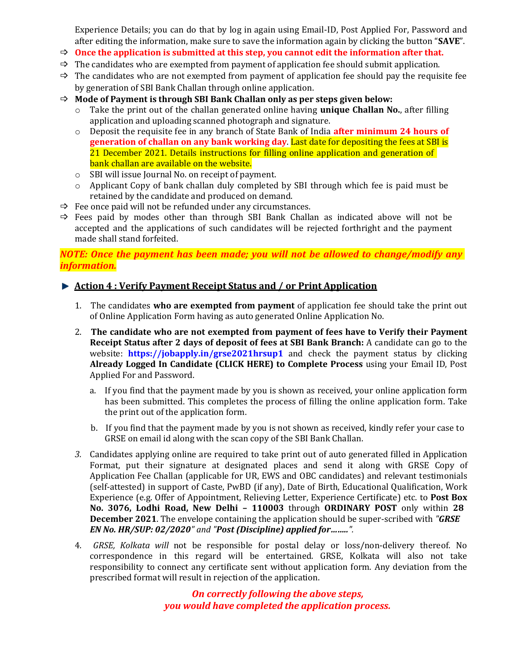Experience Details; you can do that by log in again using Email-ID, Post Applied For, Password and after editing the information, make sure to save the information again by clicking the button "**SAVE**".

- **Once the application is submitted at this step, you cannot edit the information after that.**
- $\Rightarrow$  The candidates who are exempted from payment of application fee should submit application.
- $\Rightarrow$  The candidates who are not exempted from payment of application fee should pay the requisite fee by generation of SBI Bank Challan through online application.
- **Mode of Payment is through SBI Bank Challan only as per steps given below:**
	- o Take the print out of the challan generated online having **unique Challan No.**, after filling application and uploading scanned photograph and signature.
	- o Deposit the requisite fee in any branch of State Bank of India **after minimum 24 hours of generation of challan on any bank working day**. Last date for depositing the fees at SBI is 21 December 2021. Details instructions for filling online application and generation of bank challan are available on the website.
	- o SBI will issue Journal No. on receipt of payment.
	- $\circ$  Applicant Copy of bank challan duly completed by SBI through which fee is paid must be retained by the candidate and produced on demand.
- $\Rightarrow$  Fee once paid will not be refunded under any circumstances.
- $\Rightarrow$  Fees paid by modes other than through SBI Bank Challan as indicated above will not be accepted and the applications of such candidates will be rejected forthright and the payment made shall stand forfeited.

*NOTE: Once the payment has been made; you will not be allowed to change/modify any information.*

## **Action 4 : Verify Payment Receipt Status and / or Print Application**

- 1. The candidates **who are exempted from payment** of application fee should take the print out of Online Application Form having as auto generated Online Application No.
- 2. **The candidate who are not exempted from payment of fees have to Verify their Payment Receipt Status after 2 days of deposit of fees at SBI Bank Branch:** A candidate can go to the website: **https://jobapply.in/grse2021hrsup1** and check the payment status by clicking **Already Logged In Candidate (CLICK HERE) to Complete Process** using your Email ID, Post Applied For and Password.
	- a. If you find that the payment made by you is shown as received, your online application form has been submitted. This completes the process of filling the online application form. Take the print out of the application form.
	- b. If you find that the payment made by you is not shown as received, kindly refer your case to GRSE on email id along with the scan copy of the SBI Bank Challan.
- *3.* Candidates applying online are required to take print out of auto generated filled in Application Format, put their signature at designated places and send it along with GRSE Copy of Application Fee Challan (applicable for UR, EWS and OBC candidates) and relevant testimonials (self-attested) in support of Caste, PwBD (if any), Date of Birth, Educational Qualification, Work Experience (e.g. Offer of Appointment, Relieving Letter, Experience Certificate) etc. to **Post Box No. 3076, Lodhi Road, New Delhi – 110003** through **ORDINARY POST** only within **28 December 2021**. The envelope containing the application should be super-scribed with *"GRSE EN No. HR/SUP: 02/2020" and "Post (Discipline) applied for……..".*
- 4. *GRSE, Kolkata will* not be responsible for postal delay or loss/non-delivery thereof. No correspondence in this regard will be entertained. GRSE, Kolkata will also not take responsibility to connect any certificate sent without application form. Any deviation from the prescribed format will result in rejection of the application.

*On correctly following the above steps, you would have completed the application process.*